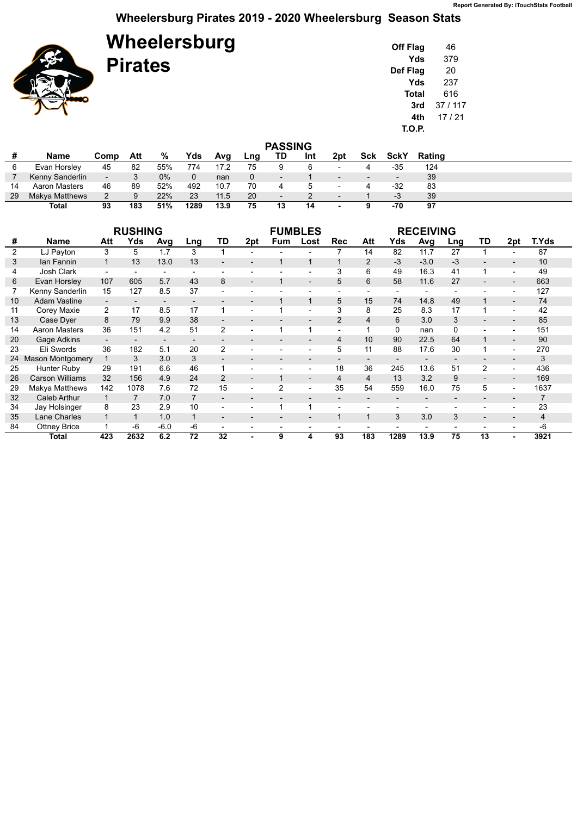## **Wheelersburg Pirates 2019 - 2020 Wheelersburg Season Stats**

**Wheelersburg**

**Pirates**

| <b>Off Flag</b> | 46      |
|-----------------|---------|
| Yds             | 379     |
| Def Flag        | 20      |
| Yds             | 237     |
| Total           | 616     |
| 3rd             | 37/117  |
| 4th             | 17 / 21 |
| T.O.P.          |         |

| <b>PASSING</b> |                      |                          |     |       |      |      |             |                          |     |                          |                          |                          |        |  |
|----------------|----------------------|--------------------------|-----|-------|------|------|-------------|--------------------------|-----|--------------------------|--------------------------|--------------------------|--------|--|
| #              | Name                 | Comp                     | Att | %     | Yds  | Avg  | Lng         | TD                       | Int | 2pt                      | Sck                      | <b>SckY</b>              | Rating |  |
| O              | Evan Horsley         | 45                       | 82  | 55%   | 774  | 17.2 | 75          | 9                        | 6   | $\overline{\phantom{0}}$ | 4                        | -35                      | 124    |  |
|                | Kenny Sanderlin      | $\overline{\phantom{a}}$ | 3   | $0\%$ |      | nan  | $\mathbf 0$ | $\overline{\phantom{0}}$ |     | $\overline{\phantom{0}}$ | $\overline{\phantom{a}}$ | $\overline{\phantom{a}}$ | 39     |  |
| 14             | <b>Aaron Masters</b> | 46                       | 89  | 52%   | 492  | 10.7 | 70          | 4                        |     | $\overline{\phantom{0}}$ |                          | -32                      | 83     |  |
| 29             | Makya Matthews       |                          | 9   | 22%   | 23   | 11.5 | 20          | $\overline{\phantom{0}}$ |     | $\overline{\phantom{0}}$ |                          | $-3$                     | 39     |  |
|                | Total                | 93                       | 183 | 51%   | 1289 | 13.9 | 75          | 13                       | 14  |                          |                          | -70                      | 97     |  |

| <b>RUSHING</b> |                         |                          |                          |                          |                 |                          |                          | <b>FUMBLES</b>           |                          |                          | <b>RECEIVING</b>         |          |                          |                          |                          |                          |       |
|----------------|-------------------------|--------------------------|--------------------------|--------------------------|-----------------|--------------------------|--------------------------|--------------------------|--------------------------|--------------------------|--------------------------|----------|--------------------------|--------------------------|--------------------------|--------------------------|-------|
| #              | Name                    | Att                      | Yds                      | Avg                      | Lng             | TD                       | 2pt                      | <b>Fum</b>               | Lost                     | <b>Rec</b>               | Att                      | Yds      | Avg                      | Lng                      | TD                       | 2pt                      | T.Yds |
| $\overline{2}$ | LJ Payton               | 3                        | 5                        | 1.7                      | 3               |                          | $\overline{\phantom{0}}$ |                          |                          |                          | 14                       | 82       | 11.7                     | 27                       |                          |                          | 87    |
| 3              | Ian Fannin              |                          | 13                       | 13.0                     | 13              |                          | $\overline{\phantom{a}}$ | $\mathbf 1$              | $\mathbf{1}$             |                          | 2                        | -3       | $-3.0$                   | -3                       |                          |                          | 10    |
|                | Josh Clark              |                          |                          | $\overline{\phantom{a}}$ |                 |                          |                          |                          | $\overline{a}$           | 3                        | 6                        | 49       | 16.3                     | 41                       |                          |                          | 49    |
| 6              | Evan Horsley            | 107                      | 605                      | 5.7                      | 43              | 8                        | $\overline{\phantom{a}}$ |                          | $\overline{\phantom{0}}$ | 5                        | 6                        | 58       | 11.6                     | 27                       |                          |                          | 663   |
|                | Kenny Sanderlin         | 15                       | 127                      | 8.5                      | 37              |                          | ۰                        |                          |                          |                          |                          |          |                          |                          |                          |                          | 127   |
| 10             | <b>Adam Vastine</b>     | $\overline{\phantom{0}}$ | $\overline{\phantom{0}}$ | $\overline{\phantom{0}}$ |                 |                          | $\overline{\phantom{a}}$ |                          | $\mathbf{1}$             | 5                        | 15                       | 74       | 14.8                     | 49                       |                          | $\overline{\phantom{0}}$ | 74    |
| 11             | Corey Maxie             | 2                        | 17                       | 8.5                      | 17              |                          | $\overline{a}$           |                          |                          | 3                        | 8                        | 25       | 8.3                      | 17                       |                          |                          | 42    |
| 13             | Case Dyer               | 8                        | 79                       | 9.9                      | 38              |                          | $\overline{\phantom{0}}$ | $\overline{\phantom{0}}$ | $\overline{a}$           | $\overline{2}$           | 4                        | 6        | 3.0                      | 3                        |                          |                          | 85    |
| 14             | Aaron Masters           | 36                       | 151                      | 4.2                      | 51              | $\overline{2}$           | $\overline{a}$           | 1                        | 1                        | $\overline{\phantom{0}}$ |                          | $\Omega$ | nan                      | $\Omega$                 |                          | $\overline{\phantom{0}}$ | 151   |
| 20             | Gage Adkins             | $\overline{\phantom{a}}$ | $\overline{a}$           | $\overline{\phantom{0}}$ |                 |                          |                          | $\overline{\phantom{0}}$ | $\overline{\phantom{0}}$ | 4                        | 10                       | 90       | 22.5                     | 64                       |                          |                          | 90    |
| 23             | Eli Swords              | 36                       | 182                      | 5.1                      | 20              | $\overline{2}$           | $\overline{a}$           |                          | -                        | 5                        | 11                       | 88       | 17.6                     | 30                       |                          |                          | 270   |
| 24             | <b>Mason Montgomery</b> |                          | 3                        | 3.0                      | 3               |                          | $\overline{\phantom{0}}$ | $\overline{\phantom{0}}$ | $\overline{\phantom{a}}$ | $\overline{\phantom{0}}$ | $\overline{\phantom{0}}$ |          | $\overline{\phantom{a}}$ | $\overline{\phantom{0}}$ |                          |                          | 3     |
| 25             | Hunter Ruby             | 29                       | 191                      | 6.6                      | 46              |                          |                          |                          |                          | 18                       | 36                       | 245      | 13.6                     | 51                       | $\overline{2}$           |                          | 436   |
| 26             | <b>Carson Williams</b>  | 32                       | 156                      | 4.9                      | 24              | 2                        | $\overline{\phantom{a}}$ |                          | $\overline{\phantom{0}}$ | 4                        | 4                        | 13       | 3.2                      | 9                        |                          |                          | 169   |
| 29             | <b>Makya Matthews</b>   | 142                      | 1078                     | 7.6                      | 72              | 15                       | $\overline{\phantom{a}}$ | 2                        | $\overline{\phantom{0}}$ | 35                       | 54                       | 559      | 16.0                     | 75                       | 5                        | $\overline{a}$           | 1637  |
| 32             | Caleb Arthur            |                          | 7                        | 7.0                      | $\overline{7}$  |                          | $\overline{a}$           |                          |                          |                          |                          |          |                          |                          |                          |                          |       |
| 34             | Jay Holsinger           | 8                        | 23                       | 2.9                      | 10              |                          | ۰                        |                          |                          |                          |                          |          |                          |                          |                          |                          | 23    |
| 35             | Lane Charles            |                          | 1                        | 1.0                      |                 | $\overline{\phantom{a}}$ | $\overline{\phantom{0}}$ | $\overline{\phantom{a}}$ | $\overline{\phantom{0}}$ | 1                        | 1                        | 3        | 3.0                      | 3                        | $\overline{\phantom{a}}$ | $\overline{\phantom{0}}$ | 4     |
| 84             | <b>Ottney Brice</b>     |                          | $-6$                     | $-6.0$                   | -6              |                          | $\overline{\phantom{a}}$ | $\overline{\phantom{a}}$ | $\overline{a}$           |                          |                          |          |                          |                          |                          |                          | -6    |
|                | Total                   | 423                      | 2632                     | 6.2                      | $\overline{72}$ | $\overline{32}$          |                          | 9                        | 4                        | $\overline{93}$          | 183                      | 1289     | 13.9                     | $\overline{75}$          | 13                       |                          | 3921  |